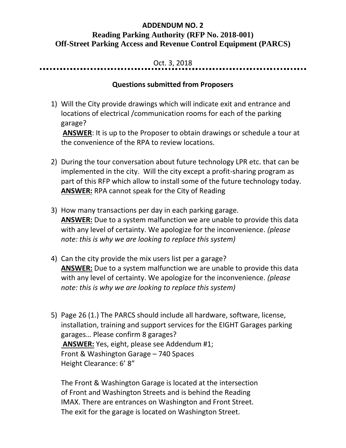## **ADDENDUM NO. 2 Reading Parking Authority (RFP No. 2018-001) Off-Street Parking Access and Revenue Control Equipment (PARCS)**

## Oct. 3, 2018

## **Questions submitted from Proposers**

1) Will the City provide drawings which will indicate exit and entrance and locations of electrical /communication rooms for each of the parking garage?

**ANSWER**: It is up to the Proposer to obtain drawings or schedule a tour at the convenience of the RPA to review locations.

- 2) During the tour conversation about future technology LPR etc. that can be implemented in the city. Will the city except a profit-sharing program as part of this RFP which allow to install some of the future technology today. **ANSWER:** RPA cannot speak for the City of Reading
- 3) How many transactions per day in each parking garage. **ANSWER:** Due to a system malfunction we are unable to provide this data with any level of certainty. We apologize for the inconvenience. *(please note: this is why we are looking to replace this system)*
- 4) Can the city provide the mix users list per a garage? **ANSWER:** Due to a system malfunction we are unable to provide this data with any level of certainty. We apologize for the inconvenience. *(please note: this is why we are looking to replace this system)*
- 5) Page 26 (1.) The PARCS should include all hardware, software, license, installation, training and support services for the EIGHT Garages parking garages… Please confirm 8 garages? **ANSWER:** Yes, eight, please see Addendum #1; Front & Washington Garage – 740 Spaces Height Clearance: 6' 8"

The Front & Washington Garage is located at the intersection of Front and Washington Streets and is behind the Reading IMAX. There are entrances on Washington and Front Street. The exit for the garage is located on Washington Street.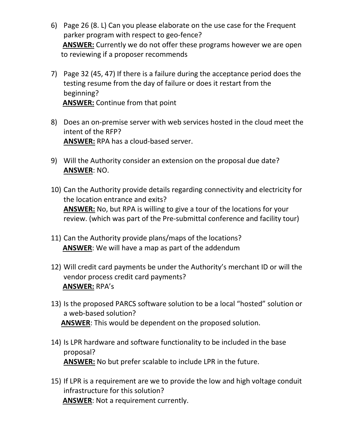- 6) Page 26 (8. L) Can you please elaborate on the use case for the Frequent parker program with respect to geo-fence? **ANSWER:** Currently we do not offer these programs however we are open to reviewing if a proposer recommends
- 7) Page 32 (45, 47) If there is a failure during the acceptance period does the testing resume from the day of failure or does it restart from the beginning? **ANSWER:** Continue from that point
- 8) Does an on-premise server with web services hosted in the cloud meet the intent of the RFP? **ANSWER:** RPA has a cloud-based server.
- 9) Will the Authority consider an extension on the proposal due date? **ANSWER**: NO.
- 10) Can the Authority provide details regarding connectivity and electricity for the location entrance and exits? **ANSWER:** No, but RPA is willing to give a tour of the locations for your review. (which was part of the Pre-submittal conference and facility tour)
- 11) Can the Authority provide plans/maps of the locations? **ANSWER**: We will have a map as part of the addendum
- 12) Will credit card payments be under the Authority's merchant ID or will the vendor process credit card payments? **ANSWER:** RPA's
- 13) Is the proposed PARCS software solution to be a local "hosted" solution or a web-based solution? **ANSWER**: This would be dependent on the proposed solution.
- 14) Is LPR hardware and software functionality to be included in the base proposal? **ANSWER:** No but prefer scalable to include LPR in the future.
- 15) If LPR is a requirement are we to provide the low and high voltage conduit infrastructure for this solution? **ANSWER**: Not a requirement currently.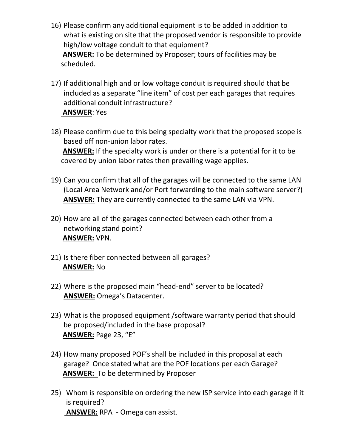- 16) Please confirm any additional equipment is to be added in addition to what is existing on site that the proposed vendor is responsible to provide high/low voltage conduit to that equipment? **ANSWER:** To be determined by Proposer; tours of facilities may be scheduled.
- 17) If additional high and or low voltage conduit is required should that be included as a separate "line item" of cost per each garages that requires additional conduit infrastructure? **ANSWER**: Yes
- 18) Please confirm due to this being specialty work that the proposed scope is based off non-union labor rates. **ANSWER:** If the specialty work is under or there is a potential for it to be covered by union labor rates then prevailing wage applies.
- 19) Can you confirm that all of the garages will be connected to the same LAN (Local Area Network and/or Port forwarding to the main software server?) **ANSWER:** They are currently connected to the same LAN via VPN.
- 20) How are all of the garages connected between each other from a networking stand point? **ANSWER:** VPN.
- 21) Is there fiber connected between all garages? **ANSWER:** No
- 22) Where is the proposed main "head-end" server to be located? **ANSWER:** Omega's Datacenter.
- 23) What is the proposed equipment /software warranty period that should be proposed/included in the base proposal? **ANSWER:** Page 23, "E"
- 24) How many proposed POF's shall be included in this proposal at each garage? Once stated what are the POF locations per each Garage? **ANSWER:** To be determined by Proposer
- 25) Whom is responsible on ordering the new ISP service into each garage if it is required? **ANSWER:** RPA - Omega can assist.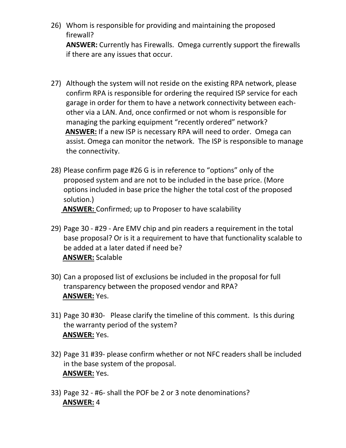26) Whom is responsible for providing and maintaining the proposed firewall?

**ANSWER:** Currently has Firewalls. Omega currently support the firewalls if there are any issues that occur.

- 27) Although the system will not reside on the existing RPA network, please confirm RPA is responsible for ordering the required ISP service for each garage in order for them to have a network connectivity between eachother via a LAN. And, once confirmed or not whom is responsible for managing the parking equipment "recently ordered" network? **ANSWER:** If a new ISP is necessary RPA will need to order. Omega can assist. Omega can monitor the network. The ISP is responsible to manage the connectivity.
- 28) Please confirm page #26 G is in reference to "options" only of the proposed system and are not to be included in the base price. (More options included in base price the higher the total cost of the proposed solution.)

**ANSWER:** Confirmed; up to Proposer to have scalability

- 29) Page 30 #29 Are EMV chip and pin readers a requirement in the total base proposal? Or is it a requirement to have that functionality scalable to be added at a later dated if need be? **ANSWER:** Scalable
- 30) Can a proposed list of exclusions be included in the proposal for full transparency between the proposed vendor and RPA? **ANSWER:** Yes.
- 31) Page 30 #30- Please clarify the timeline of this comment. Is this during the warranty period of the system? **ANSWER:** Yes.
- 32) Page 31 #39- please confirm whether or not NFC readers shall be included in the base system of the proposal. **ANSWER:** Yes.
- 33) Page 32 #6- shall the POF be 2 or 3 note denominations? **ANSWER:** 4